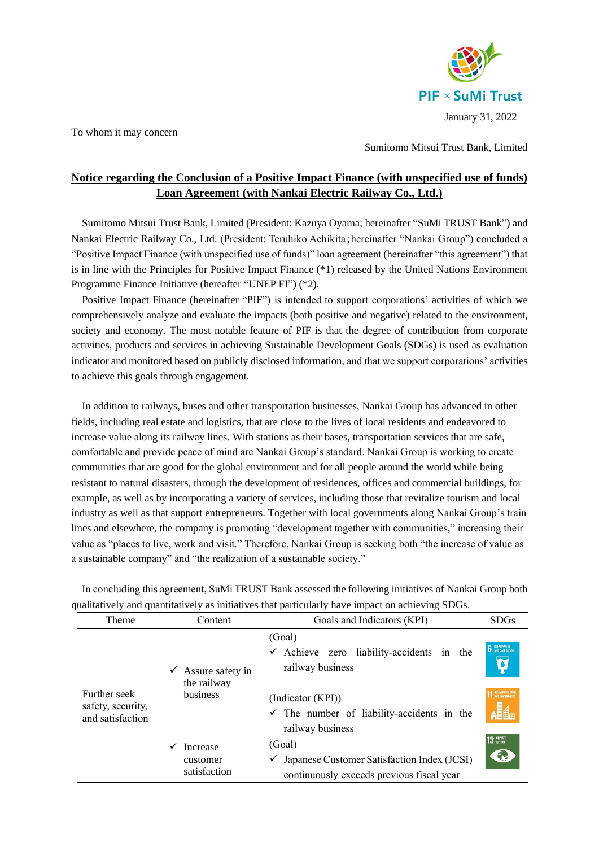

To whom it may concern

Sumitomo Mitsui Trust Bank, Limited

## **Notice regarding the Conclusion of a Positive Impact Finance (with unspecified use of funds) Loan Agreement (with Nankai Electric Railway Co., Ltd.)**

Sumitomo Mitsui Trust Bank, Limited (President: Kazuya Oyama; hereinafter "SuMi TRUST Bank") and Nankai Electric Railway Co., Ltd. (President: Teruhiko Achikita;hereinafter "Nankai Group") concluded a "Positive Impact Finance (with unspecified use of funds)" loan agreement (hereinafter "this agreement") that is in line with the Principles for Positive Impact Finance (\*1) released by the United Nations Environment Programme Finance Initiative (hereafter "UNEP FI") (\*2).

Positive Impact Finance (hereinafter "PIF") is intended to support corporations' activities of which we comprehensively analyze and evaluate the impacts (both positive and negative) related to the environment, society and economy. The most notable feature of PIF is that the degree of contribution from corporate activities, products and services in achieving Sustainable Development Goals (SDGs) is used as evaluation indicator and monitored based on publicly disclosed information, and that we support corporations' activities to achieve this goals through engagement.

In addition to railways, buses and other transportation businesses, Nankai Group has advanced in other fields, including real estate and logistics, that are close to the lives of local residents and endeavored to increase value along its railway lines. With stations as their bases, transportation services that are safe, comfortable and provide peace of mind are Nankai Group's standard. Nankai Group is working to create communities that are good for the global environment and for all people around the world while being resistant to natural disasters, through the development of residences, offices and commercial buildings, for example, as well as by incorporating a variety of services, including those that revitalize tourism and local industry as well as that support entrepreneurs. Together with local governments along Nankai Group's train lines and elsewhere, the company is promoting "development together with communities," increasing their value as "places to live, work and visit." Therefore, Nankai Group is seeking both "the increase of value as a sustainable company" and "the realization of a sustainable society."

| Theme                                                 | Content                                          | Goals and Indicators (KPI)                                                                         | <b>SDGs</b>                                        |
|-------------------------------------------------------|--------------------------------------------------|----------------------------------------------------------------------------------------------------|----------------------------------------------------|
| Further seek<br>safety, security,<br>and satisfaction | Assure safety in<br>✓<br>the railway<br>business | (Goal)<br>Achieve zero liability-accidents in the<br>railway business<br>(Indicator (KPI))         | <b>6</b> CLEAN WATER<br><b>TELESTAINABLE CITTE</b> |
|                                                       |                                                  | $\checkmark$ The number of liability-accidents in the<br>railway business                          | <b>Alle</b>                                        |
|                                                       | Increase<br>customer<br>satisfaction             | (Goal)<br>Japanese Customer Satisfaction Index (JCSI)<br>continuously exceeds previous fiscal year | $13 \frac{\text{cutoff}}{\text{action}}$<br>(6)    |

In concluding this agreement, SuMi TRUST Bank assessed the following initiatives of Nankai Group both qualitatively and quantitatively as initiatives that particularly have impact on achieving SDGs.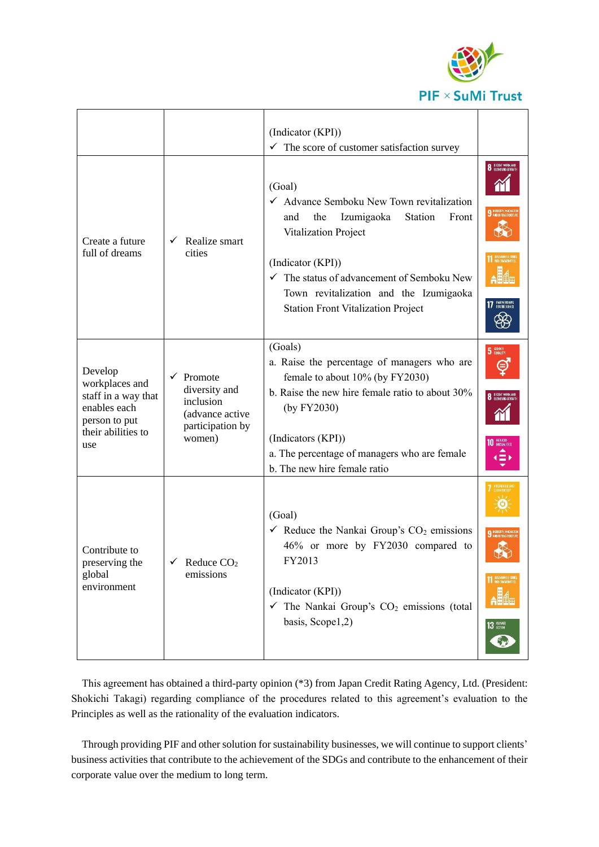

|                                                                                                                |                                                                                             | (Indicator (KPI))<br>The score of customer satisfaction survey<br>$\checkmark$                                                                                                                                                                                                                   |                                                             |
|----------------------------------------------------------------------------------------------------------------|---------------------------------------------------------------------------------------------|--------------------------------------------------------------------------------------------------------------------------------------------------------------------------------------------------------------------------------------------------------------------------------------------------|-------------------------------------------------------------|
| Create a future<br>full of dreams                                                                              | Realize smart<br>✓<br>cities                                                                | (Goal)<br>← Advance Semboku New Town revitalization<br>the<br>Izumigaoka<br>Station<br>Front<br>and<br>Vitalization Project<br>(Indicator (KPI))<br>$\checkmark$ The status of advancement of Semboku New<br>Town revitalization and the Izumigaoka<br><b>Station Front Vitalization Project</b> | 8 ECONT WORK AND<br>17 FARTNERSHIPS                         |
| Develop<br>workplaces and<br>staff in a way that<br>enables each<br>person to put<br>their abilities to<br>use | Promote<br>✓<br>diversity and<br>inclusion<br>(advance active<br>participation by<br>women) | (Goals)<br>a. Raise the percentage of managers who are<br>female to about 10% (by FY2030)<br>b. Raise the new hire female ratio to about 30%<br>(by FY2030)<br>(Indicators (KPI))<br>a. The percentage of managers who are female<br>b. The new hire female ratio                                | 5 EDIDER<br>⊜<br><b>8</b> DECENT WORK AN<br>10 REQUEED<br>Φ |
| Contribute to<br>preserving the<br>global<br>environment                                                       | Reduce $CO2$<br>emissions                                                                   | (Goal)<br>$\checkmark$ Reduce the Nankai Group's CO <sub>2</sub> emissions<br>46% or more by FY2030 compared to<br>FY2013<br>(Indicator (KPI))<br>$\checkmark$ The Nankai Group's CO <sub>2</sub> emissions (total<br>basis, Scope1,2)                                                           | <b>11 SUSTAINABLE CITIE</b><br>13 SCTION<br>6,              |

This agreement has obtained a third-party opinion (\*3) from Japan Credit Rating Agency, Ltd. (President: Shokichi Takagi) regarding compliance of the procedures related to this agreement's evaluation to the Principles as well as the rationality of the evaluation indicators.

Through providing PIF and other solution for sustainability businesses, we will continue to support clients' business activities that contribute to the achievement of the SDGs and contribute to the enhancement of their corporate value over the medium to long term.